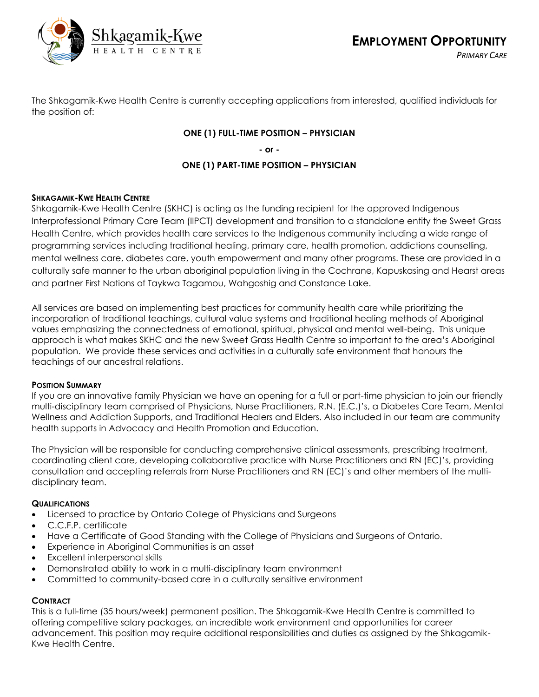

The Shkagamik-Kwe Health Centre is currently accepting applications from interested, qualified individuals for the position of:

## **ONE (1) FULL-TIME POSITION – PHYSICIAN**

**- or -**

## **ONE (1) PART-TIME POSITION – PHYSICIAN**

### **SHKAGAMIK-KWE HEALTH CENTRE**

Shkagamik-Kwe Health Centre (SKHC) is acting as the funding recipient for the approved Indigenous Interprofessional Primary Care Team (IIPCT) development and transition to a standalone entity the Sweet Grass Health Centre, which provides health care services to the Indigenous community including a wide range of programming services including traditional healing, primary care, health promotion, addictions counselling, mental wellness care, diabetes care, youth empowerment and many other programs. These are provided in a culturally safe manner to the urban aboriginal population living in the Cochrane, Kapuskasing and Hearst areas and partner First Nations of Taykwa Tagamou, Wahgoshig and Constance Lake.

All services are based on implementing best practices for community health care while prioritizing the incorporation of traditional teachings, cultural value systems and traditional healing methods of Aboriginal values emphasizing the connectedness of emotional, spiritual, physical and mental well-being. This unique approach is what makes SKHC and the new Sweet Grass Health Centre so important to the area's Aboriginal population. We provide these services and activities in a culturally safe environment that honours the teachings of our ancestral relations.

### **POSITION SUMMARY**

If you are an innovative family Physician we have an opening for a full or part-time physician to join our friendly multi-disciplinary team comprised of Physicians, Nurse Practitioners, R.N. (E.C.)'s, a Diabetes Care Team, Mental Wellness and Addiction Supports, and Traditional Healers and Elders. Also included in our team are community health supports in Advocacy and Health Promotion and Education.

The Physician will be responsible for conducting comprehensive clinical assessments, prescribing treatment, coordinating client care, developing collaborative practice with Nurse Practitioners and RN (EC)'s, providing consultation and accepting referrals from Nurse Practitioners and RN (EC)'s and other members of the multidisciplinary team.

### **QUALIFICATIONS**

- Licensed to practice by Ontario College of Physicians and Surgeons
- C.C.F.P. certificate
- Have a Certificate of Good Standing with the College of Physicians and Surgeons of Ontario.
- Experience in Aboriginal Communities is an asset
- Excellent interpersonal skills
- Demonstrated ability to work in a multi-disciplinary team environment
- Committed to community-based care in a culturally sensitive environment

# **CONTRACT**

This is a full-time (35 hours/week) permanent position. The Shkagamik-Kwe Health Centre is committed to offering competitive salary packages, an incredible work environment and opportunities for career advancement. This position may require additional responsibilities and duties as assigned by the Shkagamik-Kwe Health Centre.